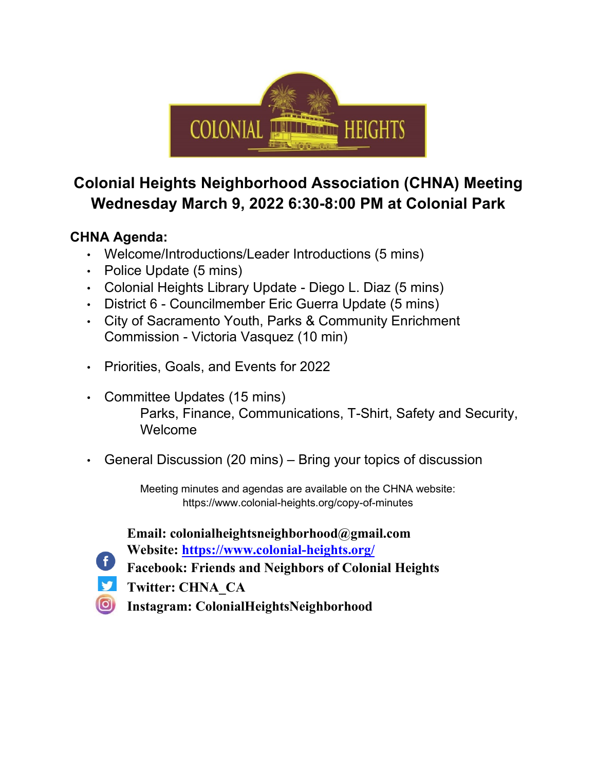

## **Colonial Heights Neighborhood Association (CHNA) Meeting Wednesday March 9, 2022 6:30-8:00 PM at Colonial Park**

## **CHNA Agenda:**

- Welcome/Introductions/Leader Introductions (5 mins)
- Police Update (5 mins)
- Colonial Heights Library Update Diego L. Diaz (5 mins)
- District 6 Councilmember Eric Guerra Update (5 mins)
- City of Sacramento Youth, Parks & Community Enrichment Commission - Victoria Vasquez (10 min)
- Priorities, Goals, and Events for 2022
- Committee Updates (15 mins) Parks, Finance, Communications, T-Shirt, Safety and Security, Welcome
- General Discussion (20 mins) Bring your topics of discussion

Meeting minutes and agendas are available on the CHNA website: https://www.colonial-heights.org/copy-of-minutes

**Email: colonialheightsneighborhood@gmail.com Website: https://www.colonial-heights.org/**

**Facebook: Friends and Neighbors of Colonial Heights** 

v

**Twitter: CHNA\_CA** 

 $\left( 0\right)$ **Instagram: ColonialHeightsNeighborhood**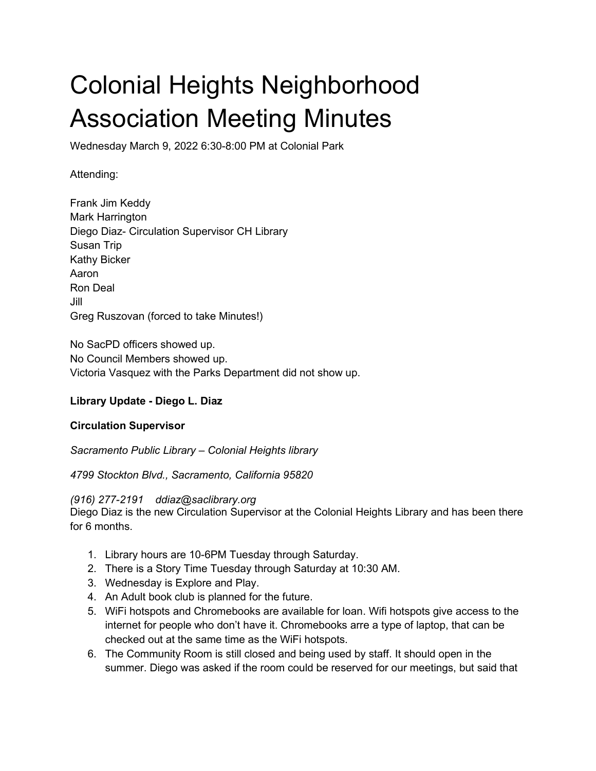# Colonial Heights Neighborhood Association Meeting Minutes

Wednesday March 9, 2022 6:30-8:00 PM at Colonial Park

Attending:

Frank Jim Keddy Mark Harrington Diego Diaz- Circulation Supervisor CH Library Susan Trip Kathy Bicker Aaron Ron Deal Jill Greg Ruszovan (forced to take Minutes!)

No SacPD officers showed up. No Council Members showed up. Victoria Vasquez with the Parks Department did not show up.

#### **Library Update - Diego L. Diaz**

#### **Circulation Supervisor**

*Sacramento Public Library – Colonial Heights library*

*4799 Stockton Blvd., Sacramento, California 95820*

*(916) 277-2191 ddiaz@saclibrary.org*

Diego Diaz is the new Circulation Supervisor at the Colonial Heights Library and has been there for 6 months.

- 1. Library hours are 10-6PM Tuesday through Saturday.
- 2. There is a Story Time Tuesday through Saturday at 10:30 AM.
- 3. Wednesday is Explore and Play.
- 4. An Adult book club is planned for the future.
- 5. WiFi hotspots and Chromebooks are available for loan. Wifi hotspots give access to the internet for people who don't have it. Chromebooks arre a type of laptop, that can be checked out at the same time as the WiFi hotspots.
- 6. The Community Room is still closed and being used by staff. It should open in the summer. Diego was asked if the room could be reserved for our meetings, but said that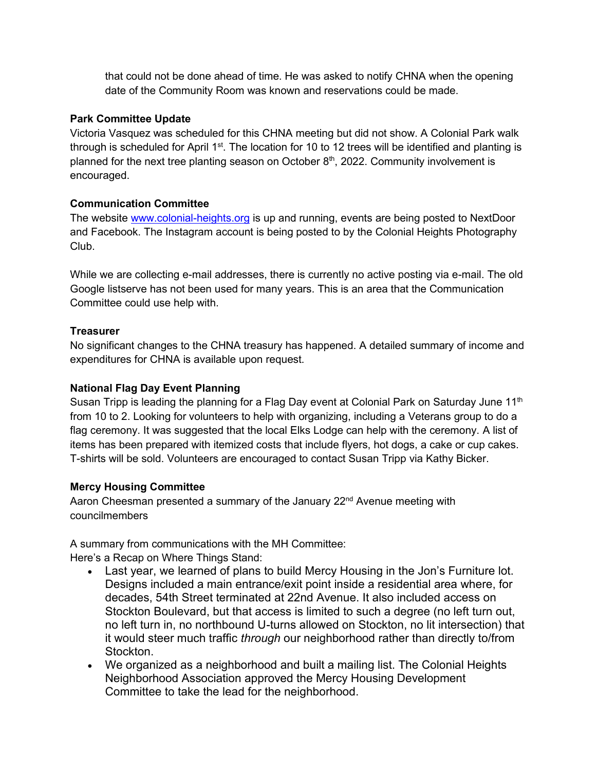that could not be done ahead of time. He was asked to notify CHNA when the opening date of the Community Room was known and reservations could be made.

#### **Park Committee Update**

Victoria Vasquez was scheduled for this CHNA meeting but did not show. A Colonial Park walk through is scheduled for April  $1<sup>st</sup>$ . The location for 10 to 12 trees will be identified and planting is planned for the next tree planting season on October  $8<sup>th</sup>$ , 2022. Community involvement is encouraged.

#### **Communication Committee**

The website [www.colonial-heights.org](http://www.colonial-heights.org/) is up and running, events are being posted to NextDoor and Facebook. The Instagram account is being posted to by the Colonial Heights Photography Club.

While we are collecting e-mail addresses, there is currently no active posting via e-mail. The old Google listserve has not been used for many years. This is an area that the Communication Committee could use help with.

#### **Treasurer**

No significant changes to the CHNA treasury has happened. A detailed summary of income and expenditures for CHNA is available upon request.

#### **National Flag Day Event Planning**

Susan Tripp is leading the planning for a Flag Day event at Colonial Park on Saturday June 11<sup>th</sup> from 10 to 2. Looking for volunteers to help with organizing, including a Veterans group to do a flag ceremony. It was suggested that the local Elks Lodge can help with the ceremony. A list of items has been prepared with itemized costs that include flyers, hot dogs, a cake or cup cakes. T-shirts will be sold. Volunteers are encouraged to contact Susan Tripp via Kathy Bicker.

#### **Mercy Housing Committee**

Aaron Cheesman presented a summary of the January  $22<sup>nd</sup>$  Avenue meeting with councilmembers

A summary from communications with the MH Committee: Here's a Recap on Where Things Stand:

- Last year, we learned of plans to build Mercy Housing in the Jon's Furniture lot. Designs included a main entrance/exit point inside a residential area where, for decades, 54th Street terminated at 22nd Avenue. It also included access on Stockton Boulevard, but that access is limited to such a degree (no left turn out, no left turn in, no northbound U-turns allowed on Stockton, no lit intersection) that it would steer much traffic *through* our neighborhood rather than directly to/from Stockton.
- We organized as a neighborhood and built a mailing list. The Colonial Heights Neighborhood Association approved the Mercy Housing Development Committee to take the lead for the neighborhood.